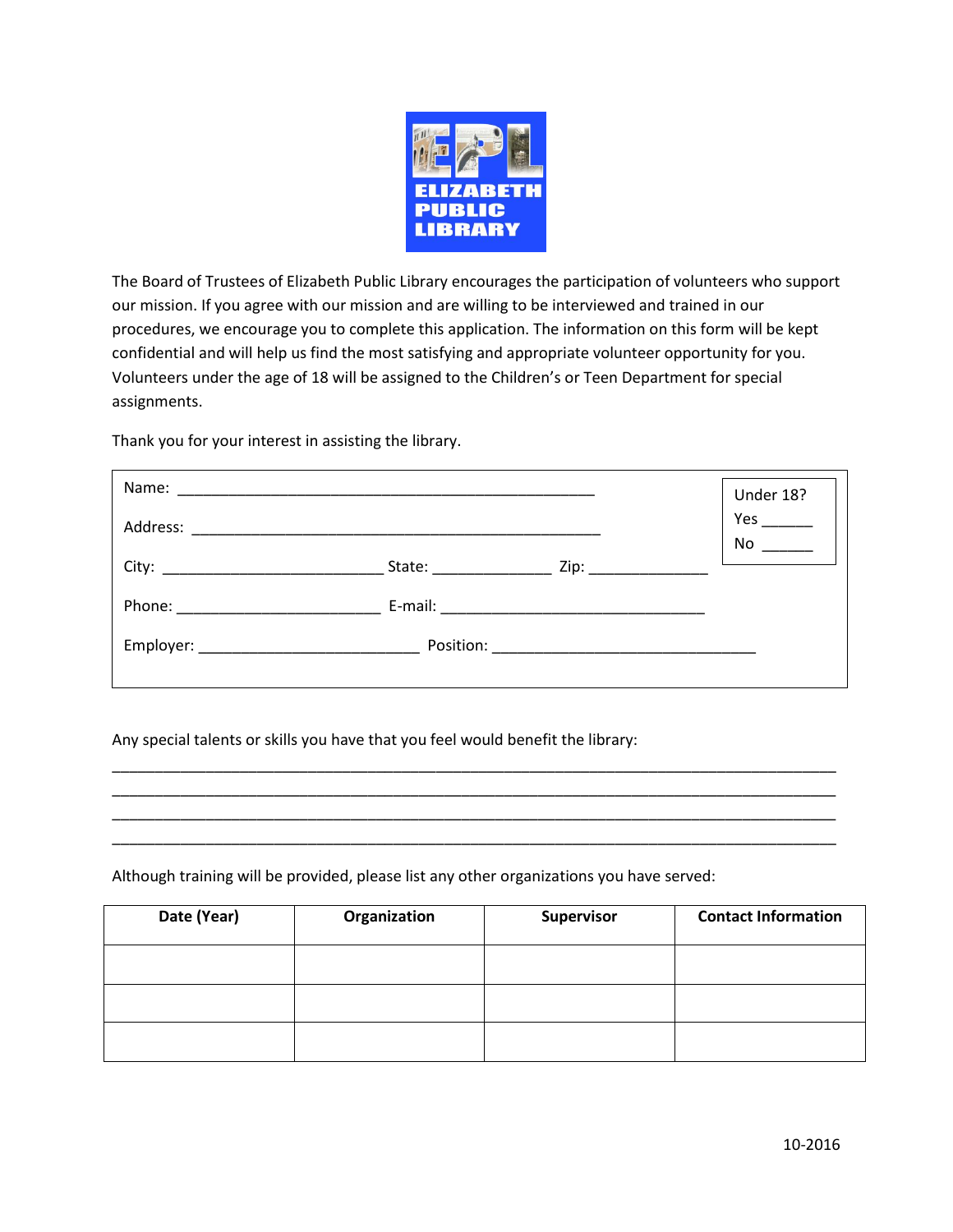

The Board of Trustees of Elizabeth Public Library encourages the participation of volunteers who support our mission. If you agree with our mission and are willing to be interviewed and trained in our procedures, we encourage you to complete this application. The information on this form will be kept confidential and will help us find the most satisfying and appropriate volunteer opportunity for you. Volunteers under the age of 18 will be assigned to the Children's or Teen Department for special assignments.

Thank you for your interest in assisting the library.

|                                  | Under 18? |
|----------------------------------|-----------|
|                                  | Yes<br>No |
| City: __________________________ |           |
|                                  |           |
|                                  |           |
|                                  |           |

\_\_\_\_\_\_\_\_\_\_\_\_\_\_\_\_\_\_\_\_\_\_\_\_\_\_\_\_\_\_\_\_\_\_\_\_\_\_\_\_\_\_\_\_\_\_\_\_\_\_\_\_\_\_\_\_\_\_\_\_\_\_\_\_\_\_\_\_\_\_\_\_\_\_\_\_\_\_\_\_\_\_\_\_\_ \_\_\_\_\_\_\_\_\_\_\_\_\_\_\_\_\_\_\_\_\_\_\_\_\_\_\_\_\_\_\_\_\_\_\_\_\_\_\_\_\_\_\_\_\_\_\_\_\_\_\_\_\_\_\_\_\_\_\_\_\_\_\_\_\_\_\_\_\_\_\_\_\_\_\_\_\_\_\_\_\_\_\_\_\_ \_\_\_\_\_\_\_\_\_\_\_\_\_\_\_\_\_\_\_\_\_\_\_\_\_\_\_\_\_\_\_\_\_\_\_\_\_\_\_\_\_\_\_\_\_\_\_\_\_\_\_\_\_\_\_\_\_\_\_\_\_\_\_\_\_\_\_\_\_\_\_\_\_\_\_\_\_\_\_\_\_\_\_\_\_ \_\_\_\_\_\_\_\_\_\_\_\_\_\_\_\_\_\_\_\_\_\_\_\_\_\_\_\_\_\_\_\_\_\_\_\_\_\_\_\_\_\_\_\_\_\_\_\_\_\_\_\_\_\_\_\_\_\_\_\_\_\_\_\_\_\_\_\_\_\_\_\_\_\_\_\_\_\_\_\_\_\_\_\_\_

Any special talents or skills you have that you feel would benefit the library:

Although training will be provided, please list any other organizations you have served:

| Date (Year) | Organization | Supervisor | <b>Contact Information</b> |
|-------------|--------------|------------|----------------------------|
|             |              |            |                            |
|             |              |            |                            |
|             |              |            |                            |